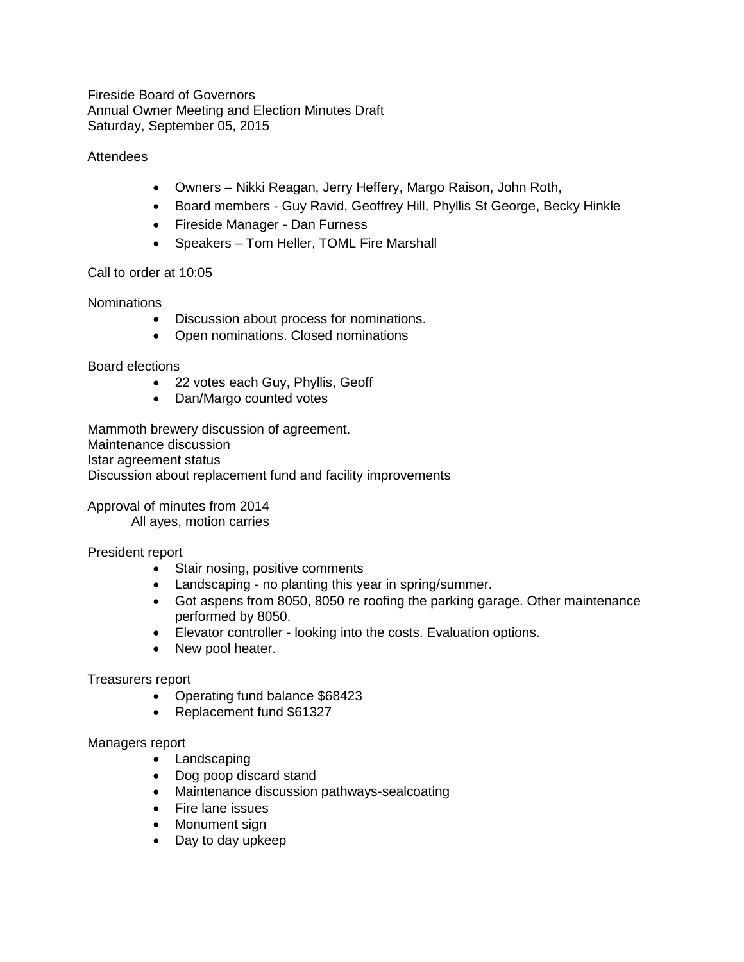Fireside Board of Governors Annual Owner Meeting and Election Minutes Draft Saturday, September 05, 2015

## **Attendees**

- Owners Nikki Reagan, Jerry Heffery, Margo Raison, John Roth,
- Board members Guy Ravid, Geoffrey Hill, Phyllis St George, Becky Hinkle
- Fireside Manager Dan Furness
- Speakers Tom Heller, TOML Fire Marshall

## Call to order at 10:05

**Nominations** 

- Discussion about process for nominations.
- Open nominations. Closed nominations

## Board elections

- 22 votes each Guy, Phyllis, Geoff
- Dan/Margo counted votes

Mammoth brewery discussion of agreement. Maintenance discussion Istar agreement status Discussion about replacement fund and facility improvements

Approval of minutes from 2014 All ayes, motion carries

# President report

- Stair nosing, positive comments
- Landscaping no planting this year in spring/summer.
- Got aspens from 8050, 8050 re roofing the parking garage. Other maintenance performed by 8050.
- Elevator controller looking into the costs. Evaluation options.
- New pool heater.

# Treasurers report

- Operating fund balance \$68423
- Replacement fund \$61327

# Managers report

- Landscaping
- Dog poop discard stand
- Maintenance discussion pathways-sealcoating
- Fire lane issues
- Monument sign
- Day to day upkeep